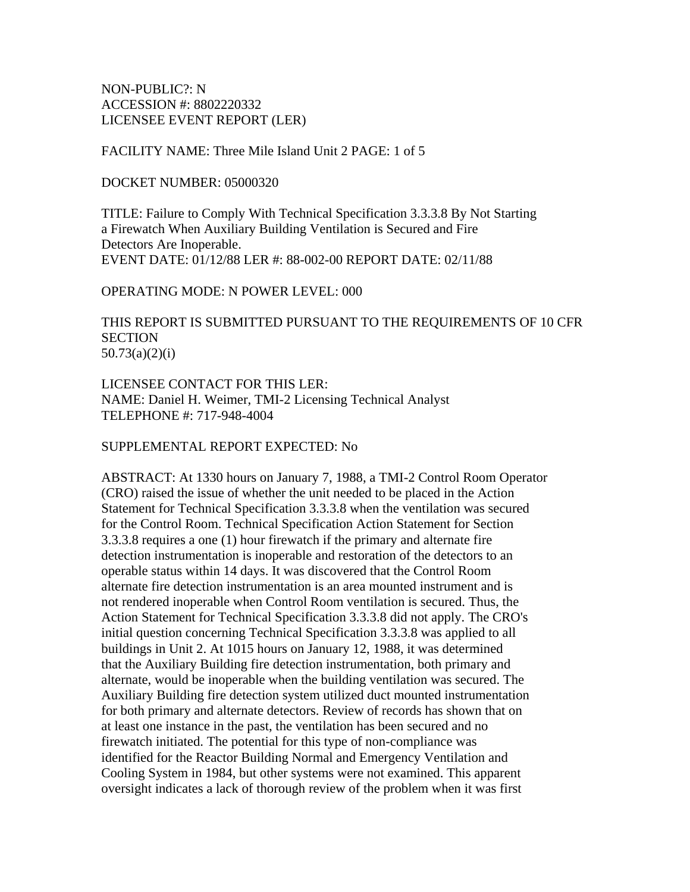NON-PUBLIC?: N ACCESSION #: 8802220332 LICENSEE EVENT REPORT (LER)

FACILITY NAME: Three Mile Island Unit 2 PAGE: 1 of 5

DOCKET NUMBER: 05000320

TITLE: Failure to Comply With Technical Specification 3.3.3.8 By Not Starting a Firewatch When Auxiliary Building Ventilation is Secured and Fire Detectors Are Inoperable. EVENT DATE: 01/12/88 LER #: 88-002-00 REPORT DATE: 02/11/88

OPERATING MODE: N POWER LEVEL: 000

THIS REPORT IS SUBMITTED PURSUANT TO THE REQUIREMENTS OF 10 CFR **SECTION** 50.73(a)(2)(i)

LICENSEE CONTACT FOR THIS LER: NAME: Daniel H. Weimer, TMI-2 Licensing Technical Analyst TELEPHONE #: 717-948-4004

SUPPLEMENTAL REPORT EXPECTED: No

ABSTRACT: At 1330 hours on January 7, 1988, a TMI-2 Control Room Operator (CRO) raised the issue of whether the unit needed to be placed in the Action Statement for Technical Specification 3.3.3.8 when the ventilation was secured for the Control Room. Technical Specification Action Statement for Section 3.3.3.8 requires a one (1) hour firewatch if the primary and alternate fire detection instrumentation is inoperable and restoration of the detectors to an operable status within 14 days. It was discovered that the Control Room alternate fire detection instrumentation is an area mounted instrument and is not rendered inoperable when Control Room ventilation is secured. Thus, the Action Statement for Technical Specification 3.3.3.8 did not apply. The CRO's initial question concerning Technical Specification 3.3.3.8 was applied to all buildings in Unit 2. At 1015 hours on January 12, 1988, it was determined that the Auxiliary Building fire detection instrumentation, both primary and alternate, would be inoperable when the building ventilation was secured. The Auxiliary Building fire detection system utilized duct mounted instrumentation for both primary and alternate detectors. Review of records has shown that on at least one instance in the past, the ventilation has been secured and no firewatch initiated. The potential for this type of non-compliance was identified for the Reactor Building Normal and Emergency Ventilation and Cooling System in 1984, but other systems were not examined. This apparent oversight indicates a lack of thorough review of the problem when it was first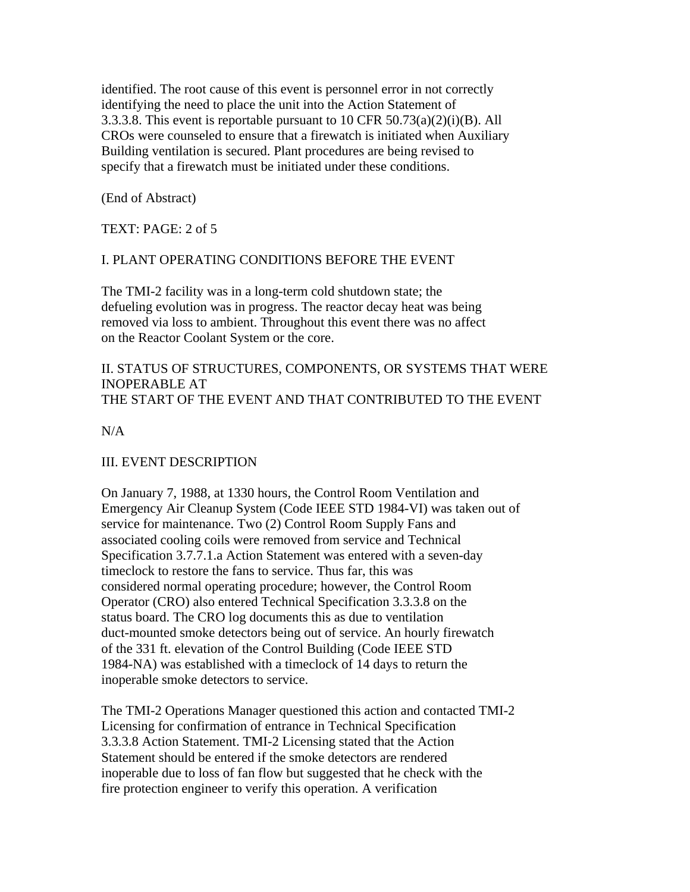identified. The root cause of this event is personnel error in not correctly identifying the need to place the unit into the Action Statement of 3.3.3.8. This event is reportable pursuant to 10 CFR  $50.73(a)(2)(i)(B)$ . All CROs were counseled to ensure that a firewatch is initiated when Auxiliary Building ventilation is secured. Plant procedures are being revised to specify that a firewatch must be initiated under these conditions.

(End of Abstract)

TEXT: PAGE: 2 of 5

### I. PLANT OPERATING CONDITIONS BEFORE THE EVENT

The TMI-2 facility was in a long-term cold shutdown state; the defueling evolution was in progress. The reactor decay heat was being removed via loss to ambient. Throughout this event there was no affect on the Reactor Coolant System or the core.

### II. STATUS OF STRUCTURES, COMPONENTS, OR SYSTEMS THAT WERE INOPERABLE AT THE START OF THE EVENT AND THAT CONTRIBUTED TO THE EVENT

 $N/A$ 

# III. EVENT DESCRIPTION

On January 7, 1988, at 1330 hours, the Control Room Ventilation and Emergency Air Cleanup System (Code IEEE STD 1984-VI) was taken out of service for maintenance. Two (2) Control Room Supply Fans and associated cooling coils were removed from service and Technical Specification 3.7.7.1.a Action Statement was entered with a seven-day timeclock to restore the fans to service. Thus far, this was considered normal operating procedure; however, the Control Room Operator (CRO) also entered Technical Specification 3.3.3.8 on the status board. The CRO log documents this as due to ventilation duct-mounted smoke detectors being out of service. An hourly firewatch of the 331 ft. elevation of the Control Building (Code IEEE STD 1984-NA) was established with a timeclock of 14 days to return the inoperable smoke detectors to service.

The TMI-2 Operations Manager questioned this action and contacted TMI-2 Licensing for confirmation of entrance in Technical Specification 3.3.3.8 Action Statement. TMI-2 Licensing stated that the Action Statement should be entered if the smoke detectors are rendered inoperable due to loss of fan flow but suggested that he check with the fire protection engineer to verify this operation. A verification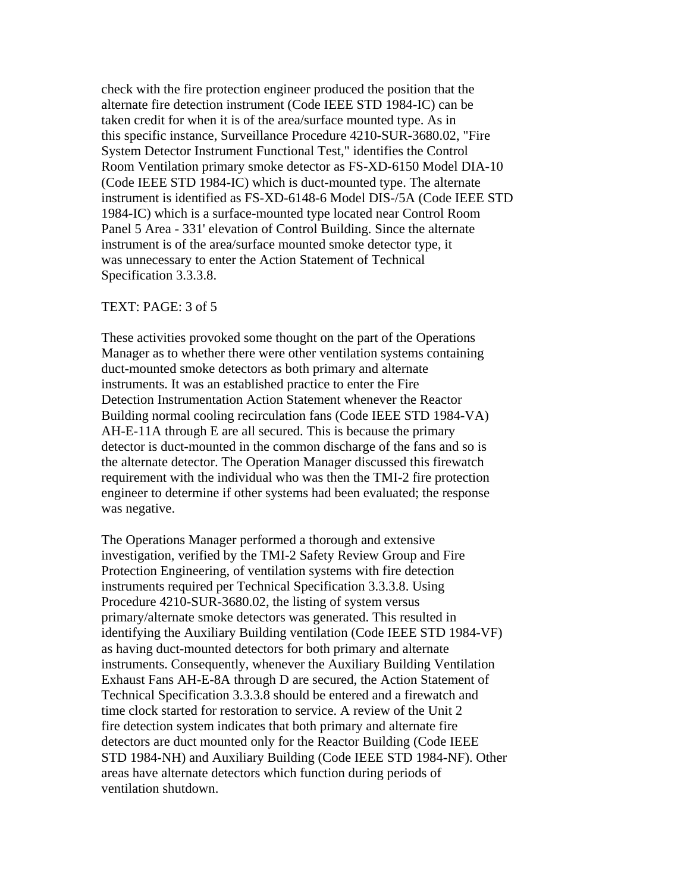check with the fire protection engineer produced the position that the alternate fire detection instrument (Code IEEE STD 1984-IC) can be taken credit for when it is of the area/surface mounted type. As in this specific instance, Surveillance Procedure 4210-SUR-3680.02, "Fire System Detector Instrument Functional Test," identifies the Control Room Ventilation primary smoke detector as FS-XD-6150 Model DIA-10 (Code IEEE STD 1984-IC) which is duct-mounted type. The alternate instrument is identified as FS-XD-6148-6 Model DIS-/5A (Code IEEE STD 1984-IC) which is a surface-mounted type located near Control Room Panel 5 Area - 331' elevation of Control Building. Since the alternate instrument is of the area/surface mounted smoke detector type, it was unnecessary to enter the Action Statement of Technical Specification 3.3.3.8.

#### TEXT: PAGE: 3 of 5

These activities provoked some thought on the part of the Operations Manager as to whether there were other ventilation systems containing duct-mounted smoke detectors as both primary and alternate instruments. It was an established practice to enter the Fire Detection Instrumentation Action Statement whenever the Reactor Building normal cooling recirculation fans (Code IEEE STD 1984-VA) AH-E-11A through E are all secured. This is because the primary detector is duct-mounted in the common discharge of the fans and so is the alternate detector. The Operation Manager discussed this firewatch requirement with the individual who was then the TMI-2 fire protection engineer to determine if other systems had been evaluated; the response was negative.

The Operations Manager performed a thorough and extensive investigation, verified by the TMI-2 Safety Review Group and Fire Protection Engineering, of ventilation systems with fire detection instruments required per Technical Specification 3.3.3.8. Using Procedure 4210-SUR-3680.02, the listing of system versus primary/alternate smoke detectors was generated. This resulted in identifying the Auxiliary Building ventilation (Code IEEE STD 1984-VF) as having duct-mounted detectors for both primary and alternate instruments. Consequently, whenever the Auxiliary Building Ventilation Exhaust Fans AH-E-8A through D are secured, the Action Statement of Technical Specification 3.3.3.8 should be entered and a firewatch and time clock started for restoration to service. A review of the Unit 2 fire detection system indicates that both primary and alternate fire detectors are duct mounted only for the Reactor Building (Code IEEE STD 1984-NH) and Auxiliary Building (Code IEEE STD 1984-NF). Other areas have alternate detectors which function during periods of ventilation shutdown.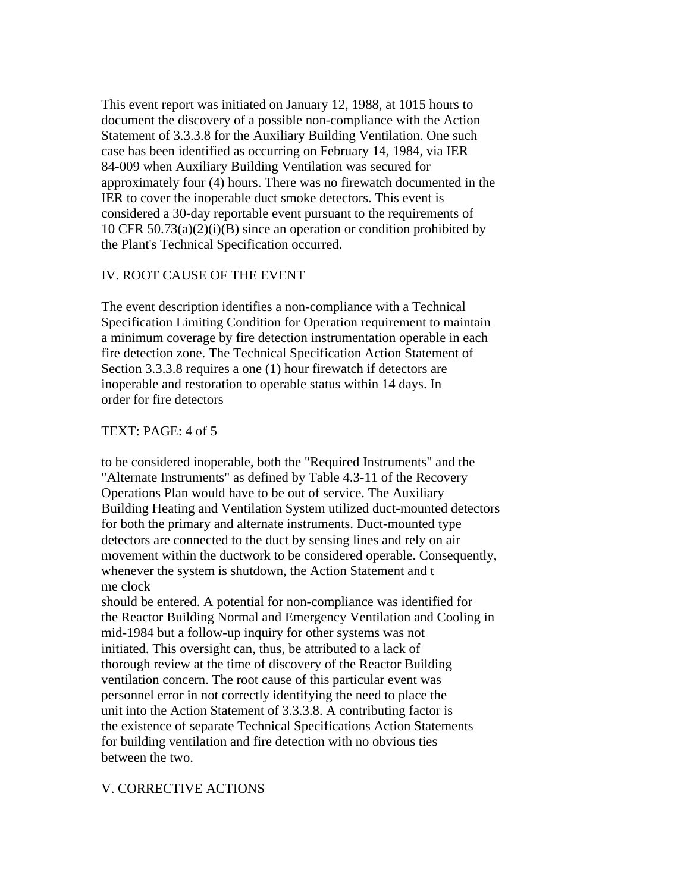This event report was initiated on January 12, 1988, at 1015 hours to document the discovery of a possible non-compliance with the Action Statement of 3.3.3.8 for the Auxiliary Building Ventilation. One such case has been identified as occurring on February 14, 1984, via IER 84-009 when Auxiliary Building Ventilation was secured for approximately four (4) hours. There was no firewatch documented in the IER to cover the inoperable duct smoke detectors. This event is considered a 30-day reportable event pursuant to the requirements of 10 CFR  $50.73(a)(2)(i)(B)$  since an operation or condition prohibited by the Plant's Technical Specification occurred.

### IV. ROOT CAUSE OF THE EVENT

The event description identifies a non-compliance with a Technical Specification Limiting Condition for Operation requirement to maintain a minimum coverage by fire detection instrumentation operable in each fire detection zone. The Technical Specification Action Statement of Section 3.3.3.8 requires a one (1) hour firewatch if detectors are inoperable and restoration to operable status within 14 days. In order for fire detectors

#### TEXT: PAGE: 4 of 5

to be considered inoperable, both the "Required Instruments" and the "Alternate Instruments" as defined by Table 4.3-11 of the Recovery Operations Plan would have to be out of service. The Auxiliary Building Heating and Ventilation System utilized duct-mounted detectors for both the primary and alternate instruments. Duct-mounted type detectors are connected to the duct by sensing lines and rely on air movement within the ductwork to be considered operable. Consequently, whenever the system is shutdown, the Action Statement and t me clock

should be entered. A potential for non-compliance was identified for the Reactor Building Normal and Emergency Ventilation and Cooling in mid-1984 but a follow-up inquiry for other systems was not initiated. This oversight can, thus, be attributed to a lack of thorough review at the time of discovery of the Reactor Building ventilation concern. The root cause of this particular event was personnel error in not correctly identifying the need to place the unit into the Action Statement of 3.3.3.8. A contributing factor is the existence of separate Technical Specifications Action Statements for building ventilation and fire detection with no obvious ties between the two.

### V. CORRECTIVE ACTIONS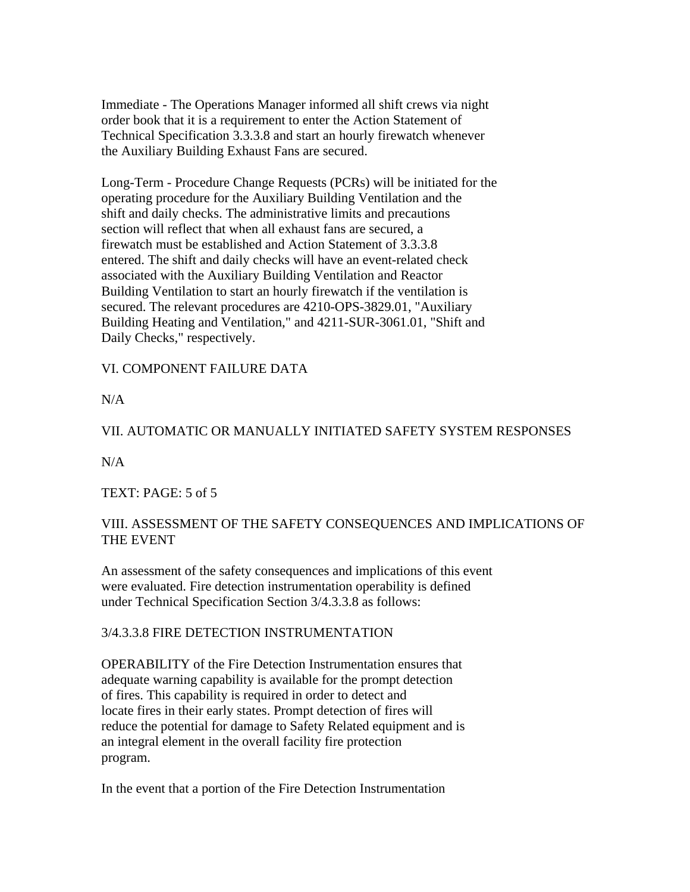Immediate - The Operations Manager informed all shift crews via night order book that it is a requirement to enter the Action Statement of Technical Specification 3.3.3.8 and start an hourly firewatch whenever the Auxiliary Building Exhaust Fans are secured.

Long-Term - Procedure Change Requests (PCRs) will be initiated for the operating procedure for the Auxiliary Building Ventilation and the shift and daily checks. The administrative limits and precautions section will reflect that when all exhaust fans are secured, a firewatch must be established and Action Statement of 3.3.3.8 entered. The shift and daily checks will have an event-related check associated with the Auxiliary Building Ventilation and Reactor Building Ventilation to start an hourly firewatch if the ventilation is secured. The relevant procedures are 4210-OPS-3829.01, "Auxiliary Building Heating and Ventilation," and 4211-SUR-3061.01, "Shift and Daily Checks," respectively.

VI. COMPONENT FAILURE DATA

 $N/A$ 

## VII. AUTOMATIC OR MANUALLY INITIATED SAFETY SYSTEM RESPONSES

 $N/A$ 

TEXT: PAGE: 5 of 5

# VIII. ASSESSMENT OF THE SAFETY CONSEQUENCES AND IMPLICATIONS OF THE EVENT

An assessment of the safety consequences and implications of this event were evaluated. Fire detection instrumentation operability is defined under Technical Specification Section 3/4.3.3.8 as follows:

### 3/4.3.3.8 FIRE DETECTION INSTRUMENTATION

OPERABILITY of the Fire Detection Instrumentation ensures that adequate warning capability is available for the prompt detection of fires. This capability is required in order to detect and locate fires in their early states. Prompt detection of fires will reduce the potential for damage to Safety Related equipment and is an integral element in the overall facility fire protection program.

In the event that a portion of the Fire Detection Instrumentation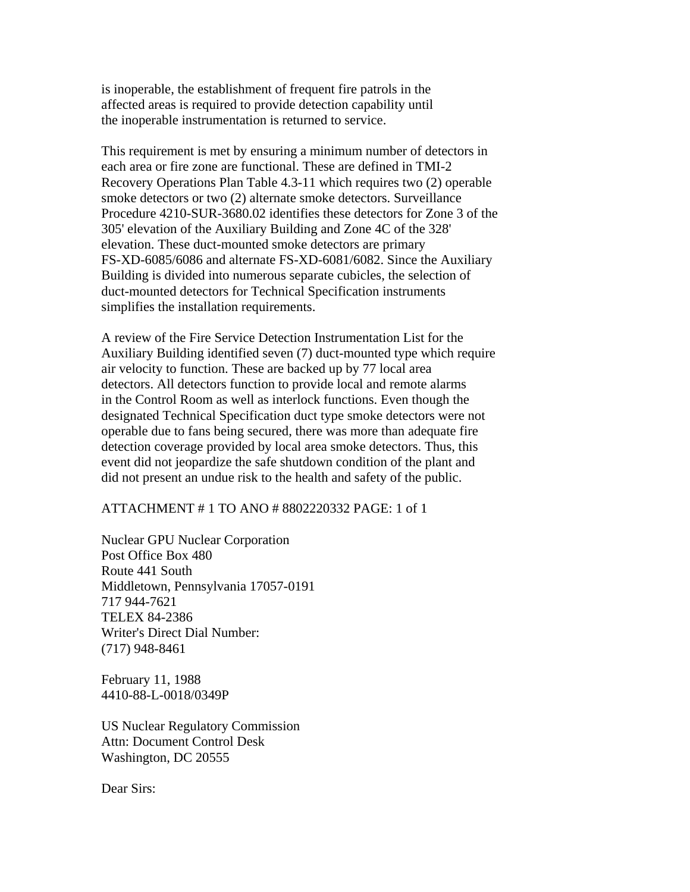is inoperable, the establishment of frequent fire patrols in the affected areas is required to provide detection capability until the inoperable instrumentation is returned to service.

This requirement is met by ensuring a minimum number of detectors in each area or fire zone are functional. These are defined in TMI-2 Recovery Operations Plan Table 4.3-11 which requires two (2) operable smoke detectors or two (2) alternate smoke detectors. Surveillance Procedure 4210-SUR-3680.02 identifies these detectors for Zone 3 of the 305' elevation of the Auxiliary Building and Zone 4C of the 328' elevation. These duct-mounted smoke detectors are primary FS-XD-6085/6086 and alternate FS-XD-6081/6082. Since the Auxiliary Building is divided into numerous separate cubicles, the selection of duct-mounted detectors for Technical Specification instruments simplifies the installation requirements.

A review of the Fire Service Detection Instrumentation List for the Auxiliary Building identified seven (7) duct-mounted type which require air velocity to function. These are backed up by 77 local area detectors. All detectors function to provide local and remote alarms in the Control Room as well as interlock functions. Even though the designated Technical Specification duct type smoke detectors were not operable due to fans being secured, there was more than adequate fire detection coverage provided by local area smoke detectors. Thus, this event did not jeopardize the safe shutdown condition of the plant and did not present an undue risk to the health and safety of the public.

#### ATTACHMENT # 1 TO ANO # 8802220332 PAGE: 1 of 1

Nuclear GPU Nuclear Corporation Post Office Box 480 Route 441 South Middletown, Pennsylvania 17057-0191 717 944-7621 TELEX 84-2386 Writer's Direct Dial Number: (717) 948-8461

February 11, 1988 4410-88-L-0018/0349P

US Nuclear Regulatory Commission Attn: Document Control Desk Washington, DC 20555

Dear Sirs: